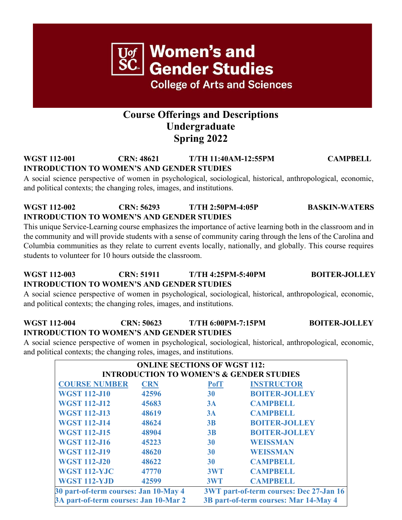# **Course Offerings and Descriptions Undergraduate Spring 2022**

### **WGST 112-001 CRN: 48621 T/TH 11:40AM-12:55PM CAMPBELL INTRODUCTION TO WOMEN'S AND GENDER STUDIES**

A social science perspective of women in psychological, sociological, historical, anthropological, economic, and political contexts; the changing roles, images, and institutions.

## **WGST 112-002 CRN: 56293 T/TH 2:50PM-4:05P BASKIN-WATERS INTRODUCTION TO WOMEN'S AND GENDER STUDIES**

This unique Service-Learning course emphasizes the importance of active learning both in the classroom and in the community and will provide students with a sense of community caring through the lens of the Carolina and Columbia communities as they relate to current events locally, nationally, and globally. This course requires students to volunteer for 10 hours outside the classroom.

## **WGST 112-003 CRN: 51911 T/TH 4:25PM-5:40PM BOITER-JOLLEY INTRODUCTION TO WOMEN'S AND GENDER STUDIES**

A social science perspective of women in psychological, sociological, historical, anthropological, economic, and political contexts; the changing roles, images, and institutions.

#### **WGST 112-004 CRN: 50623 T/TH 6:00PM-7:15PM BOITER-JOLLEY INTRODUCTION TO WOMEN'S AND GENDER STUDIES**

A social science perspective of women in psychological, sociological, historical, anthropological, economic, and political contexts; the changing roles, images, and institutions.

| <b>ONLINE SECTIONS OF WGST 112:</b>                 |            |                                         |                                       |  |  |  |
|-----------------------------------------------------|------------|-----------------------------------------|---------------------------------------|--|--|--|
| <b>INTRODUCTION TO WOMEN'S &amp; GENDER STUDIES</b> |            |                                         |                                       |  |  |  |
| <b>COURSE NUMBER</b>                                | <b>CRN</b> | <b>PofT</b>                             | <b>INSTRUCTOR</b>                     |  |  |  |
| <b>WGST 112-J10</b>                                 | 42596      | 30                                      | <b>BOITER-JOLLEY</b>                  |  |  |  |
| <b>WGST 112-J12</b>                                 | 45683      | 3A                                      | <b>CAMPBELL</b>                       |  |  |  |
| <b>WGST 112-J13</b>                                 | 48619      | 3A                                      | <b>CAMPBELL</b>                       |  |  |  |
| <b>WGST 112-J14</b>                                 | 48624      | 3B                                      | <b>BOITER-JOLLEY</b>                  |  |  |  |
| <b>WGST 112-J15</b>                                 | 48904      | 3B                                      | <b>BOITER-JOLLEY</b>                  |  |  |  |
| <b>WGST 112-J16</b>                                 | 45223      | <b>30</b>                               | <b>WEISSMAN</b>                       |  |  |  |
| <b>WGST 112-J19</b>                                 | 48620      | 30                                      | <b>WEISSMAN</b>                       |  |  |  |
| <b>WGST 112-J20</b>                                 | 48622      | 30                                      | <b>CAMPBELL</b>                       |  |  |  |
| <b>WGST 112-YJC</b>                                 | 47770      | 3WT                                     | <b>CAMPBELL</b>                       |  |  |  |
| <b>WGST 112-YJD</b>                                 | 42599      | 3WT                                     | <b>CAMPBELL</b>                       |  |  |  |
| 30 part-of-term courses: Jan 10-May 4               |            | 3WT part-of-term courses: Dec 27-Jan 16 |                                       |  |  |  |
| 3A part-of-term courses: Jan 10-Mar 2               |            |                                         | 3B part-of-term courses: Mar 14-May 4 |  |  |  |

**Women's and Gender Studies** 

**College of Arts and Sciences**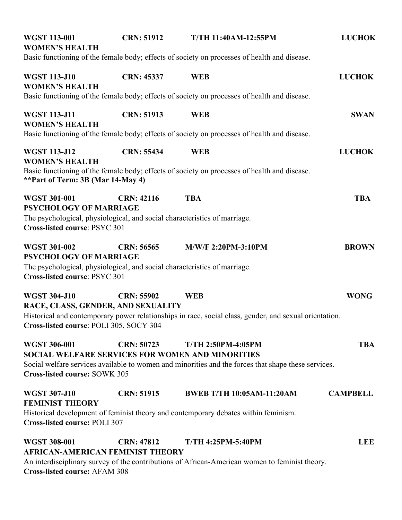| <b>WGST 113-001</b><br><b>WOMEN'S HEALTH</b>                                                                      | <b>CRN: 51912</b> | <b>T/TH 11:40AM-12:55PM</b>                                                                            | <b>LUCHOK</b>   |
|-------------------------------------------------------------------------------------------------------------------|-------------------|--------------------------------------------------------------------------------------------------------|-----------------|
|                                                                                                                   |                   | Basic functioning of the female body; effects of society on processes of health and disease.           |                 |
| <b>WGST 113-J10</b><br><b>WOMEN'S HEALTH</b>                                                                      | <b>CRN: 45337</b> | <b>WEB</b>                                                                                             | <b>LUCHOK</b>   |
|                                                                                                                   |                   | Basic functioning of the female body; effects of society on processes of health and disease.           |                 |
| <b>WGST 113-J11</b><br><b>WOMEN'S HEALTH</b>                                                                      | <b>CRN: 51913</b> | <b>WEB</b>                                                                                             | <b>SWAN</b>     |
|                                                                                                                   |                   | Basic functioning of the female body; effects of society on processes of health and disease.           |                 |
| <b>WGST 113-J12</b><br><b>WOMEN'S HEALTH</b>                                                                      | <b>CRN: 55434</b> | <b>WEB</b>                                                                                             | <b>LUCHOK</b>   |
| **Part of Term: 3B (Mar 14-May 4)                                                                                 |                   | Basic functioning of the female body; effects of society on processes of health and disease.           |                 |
| <b>WGST 301-001</b><br><b>PSYCHOLOGY OF MARRIAGE</b>                                                              | <b>CRN: 42116</b> | <b>TBA</b>                                                                                             | <b>TBA</b>      |
| The psychological, physiological, and social characteristics of marriage.<br>Cross-listed course: PSYC 301        |                   |                                                                                                        |                 |
| <b>WGST 301-002</b><br>PSYCHOLOGY OF MARRIAGE                                                                     | <b>CRN: 56565</b> | M/W/F 2:20PM-3:10PM                                                                                    | <b>BROWN</b>    |
| The psychological, physiological, and social characteristics of marriage.<br><b>Cross-listed course: PSYC 301</b> |                   |                                                                                                        |                 |
| <b>WGST 304-J10</b><br>RACE, CLASS, GENDER, AND SEXUALITY                                                         | <b>CRN: 55902</b> | <b>WEB</b>                                                                                             | <b>WONG</b>     |
| Cross-listed course: POLI 305, SOCY 304                                                                           |                   | Historical and contemporary power relationships in race, social class, gender, and sexual orientation. |                 |
| <b>WGST 306-001</b>                                                                                               | <b>CRN: 50723</b> | <b>T/TH 2:50PM-4:05PM</b><br><b>SOCIAL WELFARE SERVICES FOR WOMEN AND MINORITIES</b>                   | <b>TBA</b>      |
| <b>Cross-listed course: SOWK 305</b>                                                                              |                   | Social welfare services available to women and minorities and the forces that shape these services.    |                 |
| <b>WGST 307-J10</b><br><b>FEMINIST THEORY</b>                                                                     | <b>CRN: 51915</b> | <b>BWEB T/TH 10:05AM-11:20AM</b>                                                                       | <b>CAMPBELL</b> |
| <b>Cross-listed course: POLI 307</b>                                                                              |                   | Historical development of feminist theory and contemporary debates within feminism.                    |                 |
| <b>WGST 308-001</b><br><b>AFRICAN-AMERICAN FEMINIST THEORY</b>                                                    | <b>CRN: 47812</b> | <b>T/TH 4:25PM-5:40PM</b>                                                                              | <b>LEE</b>      |
| <b>Cross-listed course: AFAM 308</b>                                                                              |                   | An interdisciplinary survey of the contributions of African-American women to feminist theory.         |                 |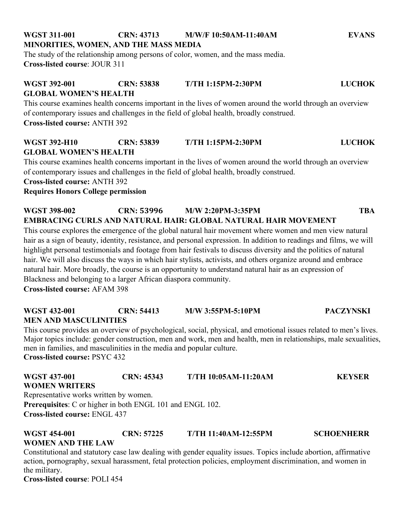## **WGST 311-001 CRN: 43713 M/W/F 10:50AM-11:40AM EVANS MINORITIES, WOMEN, AND THE MASS MEDIA**

The study of the relationship among persons of color, women, and the mass media. **Cross-listed course**: JOUR 311

## **WGST 392-001 CRN: 53838 T/TH 1:15PM-2:30PM LUCHOK GLOBAL WOMEN'S HEALTH**

This course examines health concerns important in the lives of women around the world through an overview of contemporary issues and challenges in the field of global health, broadly construed. **Cross-listed course:** ANTH 392

## **WGST 392-H10 CRN: 53839 T/TH 1:15PM-2:30PM LUCHOK GLOBAL WOMEN'S HEALTH**

This course examines health concerns important in the lives of women around the world through an overview of contemporary issues and challenges in the field of global health, broadly construed.

**Cross-listed course:** ANTH 392

**Requires Honors College permission**

## **WGST 398-002 CRN: 53996 M/W 2:20PM-3:35PM TBA EMBRACING CURLS AND NATURAL HAIR: GLOBAL NATURAL HAIR MOVEMENT**

This course explores the emergence of the global natural hair movement where women and men view natural hair as a sign of beauty, identity, resistance, and personal expression. In addition to readings and films, we will highlight personal testimonials and footage from hair festivals to discuss diversity and the politics of natural hair. We will also discuss the ways in which hair stylists, activists, and others organize around and embrace natural hair. More broadly, the course is an opportunity to understand natural hair as an expression of Blackness and belonging to a larger African diaspora community.

**Cross-listed course:** AFAM 398

## **WGST 432-001 CRN: 54413 M/W 3:55PM-5:10PM PACZYNSKI MEN AND MASCULINITIES**

This course provides an overview of psychological, social, physical, and emotional issues related to men's lives. Major topics include: gender construction, men and work, men and health, men in relationships, male sexualities, men in families, and masculinities in the media and popular culture. **Cross-listed course:** PSYC 432

#### **WGST 437-001 CRN: 45343 T/TH 10:05AM-11:20AM KEYSER WOMEN WRITERS** Representative works written by women.

**Prerequisites**: C or higher in both ENGL 101 and ENGL 102. **Cross-listed course:** ENGL 437

## **WGST 454-001 CRN: 57225 T/TH 11:40AM-12:55PM SCHOENHERR WOMEN AND THE LAW**

Constitutional and statutory case law dealing with gender equality issues. Topics include abortion, affirmative action, pornography, sexual harassment, fetal protection policies, employment discrimination, and women in the military.

**Cross-listed course**: POLI 454